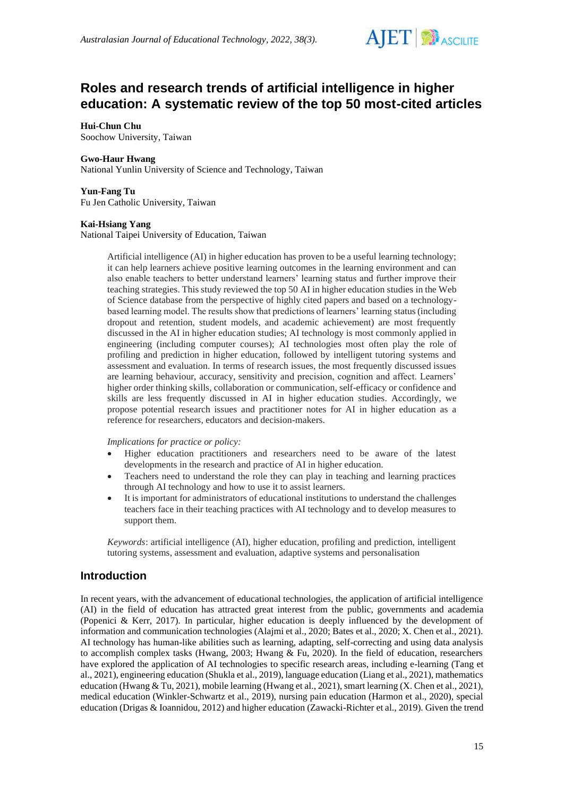

# **Roles and research trends of artificial intelligence in higher education: A systematic review of the top 50 most-cited articles**

## **Hui-Chun Chu**

Soochow University, Taiwan

#### **Gwo-Haur Hwang**

National Yunlin University of Science and Technology, Taiwan

#### **Yun-Fang Tu**

Fu Jen Catholic University, Taiwan

#### **Kai-Hsiang Yang**

National Taipei University of Education, Taiwan

Artificial intelligence (AI) in higher education has proven to be a useful learning technology; it can help learners achieve positive learning outcomes in the learning environment and can also enable teachers to better understand learners' learning status and further improve their teaching strategies. This study reviewed the top 50 AI in higher education studies in the Web of Science database from the perspective of highly cited papers and based on a technologybased learning model. The results show that predictions of learners' learning status (including dropout and retention, student models, and academic achievement) are most frequently discussed in the AI in higher education studies; AI technology is most commonly applied in engineering (including computer courses); AI technologies most often play the role of profiling and prediction in higher education, followed by intelligent tutoring systems and assessment and evaluation. In terms of research issues, the most frequently discussed issues are learning behaviour, accuracy, sensitivity and precision, cognition and affect. Learners' higher order thinking skills, collaboration or communication, self-efficacy or confidence and skills are less frequently discussed in AI in higher education studies. Accordingly, we propose potential research issues and practitioner notes for AI in higher education as a reference for researchers, educators and decision-makers.

*Implications for practice or policy:*

- Higher education practitioners and researchers need to be aware of the latest developments in the research and practice of AI in higher education.
- Teachers need to understand the role they can play in teaching and learning practices through AI technology and how to use it to assist learners.
- It is important for administrators of educational institutions to understand the challenges teachers face in their teaching practices with AI technology and to develop measures to support them.

*Keywords*: artificial intelligence (AI), higher education, profiling and prediction, intelligent tutoring systems, assessment and evaluation, adaptive systems and personalisation

# **Introduction**

In recent years, with the advancement of educational technologies, the application of artificial intelligence (AI) in the field of education has attracted great interest from the public, governments and academia (Popenici & Kerr, 2017). In particular, higher education is deeply influenced by the development of information and communication technologies (Alajmi et al., 2020; Bates et al., 2020; X. Chen et al., 2021). AI technology has human-like abilities such as learning, adapting, self-correcting and using data analysis to accomplish complex tasks (Hwang, 2003; Hwang & Fu, 2020). In the field of education, researchers have explored the application of AI technologies to specific research areas, including e-learning (Tang et al., 2021), engineering education (Shukla et al., 2019), language education (Liang et al., 2021), mathematics education (Hwang & Tu, 2021), mobile learning (Hwang et al., 2021), smart learning (X. Chen et al., 2021), medical education (Winkler-Schwartz et al., 2019), nursing pain education (Harmon et al., 2020), special education (Drigas & Ioannidou, 2012) and higher education (Zawacki-Richter et al., 2019). Given the trend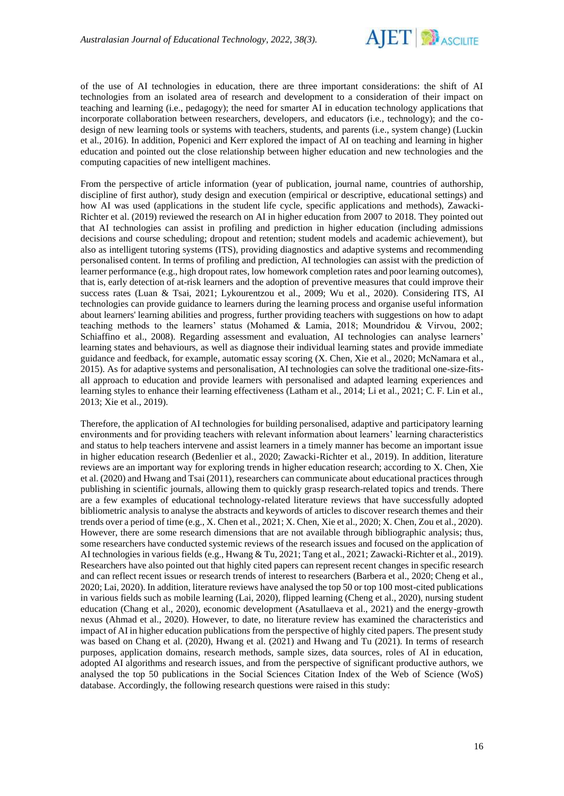

of the use of AI technologies in education, there are three important considerations: the shift of AI technologies from an isolated area of research and development to a consideration of their impact on teaching and learning (i.e., pedagogy); the need for smarter AI in education technology applications that incorporate collaboration between researchers, developers, and educators (i.e., technology); and the codesign of new learning tools or systems with teachers, students, and parents (i.e., system change) (Luckin et al., 2016). In addition, Popenici and Kerr explored the impact of AI on teaching and learning in higher education and pointed out the close relationship between higher education and new technologies and the computing capacities of new intelligent machines.

From the perspective of article information (year of publication, journal name, countries of authorship, discipline of first author), study design and execution (empirical or descriptive, educational settings) and how AI was used (applications in the student life cycle, specific applications and methods), Zawacki-Richter et al. (2019) reviewed the research on AI in higher education from 2007 to 2018. They pointed out that AI technologies can assist in profiling and prediction in higher education (including admissions decisions and course scheduling; dropout and retention; student models and academic achievement), but also as intelligent tutoring systems (ITS), providing diagnostics and adaptive systems and recommending personalised content. In terms of profiling and prediction, AI technologies can assist with the prediction of learner performance (e.g., high dropout rates, low homework completion rates and poor learning outcomes), that is, early detection of at-risk learners and the adoption of preventive measures that could improve their success rates (Luan & Tsai, 2021; Lykourentzou et al., 2009; Wu et al., 2020). Considering ITS, AI technologies can provide guidance to learners during the learning process and organise useful information about learners' learning abilities and progress, further providing teachers with suggestions on how to adapt teaching methods to the learners' status (Mohamed & Lamia, 2018; Moundridou & Virvou, 2002; Schiaffino et al., 2008). Regarding assessment and evaluation, AI technologies can analyse learners' learning states and behaviours, as well as diagnose their individual learning states and provide immediate guidance and feedback, for example, automatic essay scoring (X. Chen, Xie et al., 2020; McNamara et al., 2015). As for adaptive systems and personalisation, AI technologies can solve the traditional one-size-fitsall approach to education and provide learners with personalised and adapted learning experiences and learning styles to enhance their learning effectiveness (Latham et al., 2014; Li et al., 2021; C. F. Lin et al., 2013; Xie et al., 2019).

Therefore, the application of AI technologies for building personalised, adaptive and participatory learning environments and for providing teachers with relevant information about learners' learning characteristics and status to help teachers intervene and assist learners in a timely manner has become an important issue in higher education research (Bedenlier et al., 2020; Zawacki-Richter et al., 2019). In addition, literature reviews are an important way for exploring trends in higher education research; according to X. Chen, Xie et al. (2020) and Hwang and Tsai (2011), researchers can communicate about educational practices through publishing in scientific journals, allowing them to quickly grasp research-related topics and trends. There are a few examples of educational technology-related literature reviews that have successfully adopted bibliometric analysis to analyse the abstracts and keywords of articles to discover research themes and their trends over a period of time (e.g., X. Chen et al., 2021; X. Chen, Xie et al., 2020; X. Chen, Zou et al., 2020). However, there are some research dimensions that are not available through bibliographic analysis; thus, some researchers have conducted systemic reviews of the research issues and focused on the application of AI technologies in various fields (e.g., Hwang & Tu, 2021; Tang et al., 2021; Zawacki-Richter et al., 2019). Researchers have also pointed out that highly cited papers can represent recent changes in specific research and can reflect recent issues or research trends of interest to researchers (Barbera et al., 2020; Cheng et al., 2020; Lai, 2020). In addition, literature reviews have analysed the top 50 or top 100 most-cited publications in various fields such as mobile learning (Lai, 2020), flipped learning (Cheng et al., 2020), nursing student education (Chang et al., 2020), economic development (Asatullaeva et al., 2021) and the energy-growth nexus (Ahmad et al., 2020). However, to date, no literature review has examined the characteristics and impact of AI in higher education publications from the perspective of highly cited papers. The present study was based on Chang et al. (2020), Hwang et al. (2021) and Hwang and Tu (2021). In terms of research purposes, application domains, research methods, sample sizes, data sources, roles of AI in education, adopted AI algorithms and research issues, and from the perspective of significant productive authors, we analysed the top 50 publications in the Social Sciences Citation Index of the Web of Science (WoS) database. Accordingly, the following research questions were raised in this study: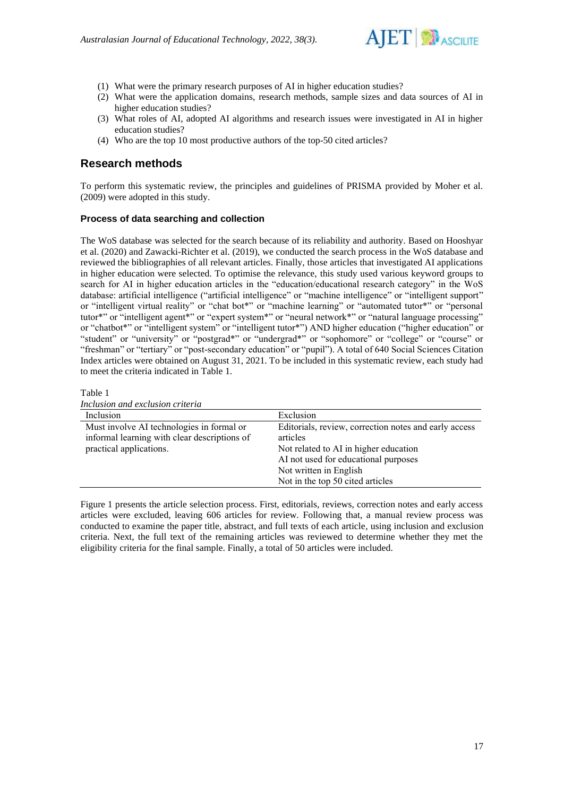

- (1) What were the primary research purposes of AI in higher education studies?
- (2) What were the application domains, research methods, sample sizes and data sources of AI in higher education studies?
- (3) What roles of AI, adopted AI algorithms and research issues were investigated in AI in higher education studies?
- (4) Who are the top 10 most productive authors of the top-50 cited articles?

# **Research methods**

Table 1

To perform this systematic review, the principles and guidelines of PRISMA provided by Moher et al. (2009) were adopted in this study.

## **Process of data searching and collection**

The WoS database was selected for the search because of its reliability and authority. Based on Hooshyar et al. (2020) and Zawacki-Richter et al. (2019), we conducted the search process in the WoS database and reviewed the bibliographies of all relevant articles. Finally, those articles that investigated AI applications in higher education were selected. To optimise the relevance, this study used various keyword groups to search for AI in higher education articles in the "education/educational research category" in the WoS database: artificial intelligence ("artificial intelligence" or "machine intelligence" or "intelligent support" or "intelligent virtual reality" or "chat bot\*" or "machine learning" or "automated tutor\*" or "personal tutor\*" or "intelligent agent\*" or "expert system\*" or "neural network\*" or "natural language processing" or "chatbot\*" or "intelligent system" or "intelligent tutor\*") AND higher education ("higher education" or "student" or "university" or "postgrad\*" or "undergrad\*" or "sophomore" or "college" or "course" or "freshman" or "tertiary" or "post-secondary education" or "pupil"). A total of 640 Social Sciences Citation Index articles were obtained on August 31, 2021. To be included in this systematic review, each study had to meet the criteria indicated in Table 1.

*Inclusion and exclusion criteria* Inclusion Exclusion Must involve AI technologies in formal or informal learning with clear descriptions of practical applications. Editorials, review, correction notes and early access articles Not related to AI in higher education AI not used for educational purposes Not written in English Not in the top 50 cited articles

Figure 1 presents the article selection process. First, editorials, reviews, correction notes and early access articles were excluded, leaving 606 articles for review. Following that, a manual review process was conducted to examine the paper title, abstract, and full texts of each article, using inclusion and exclusion criteria. Next, the full text of the remaining articles was reviewed to determine whether they met the eligibility criteria for the final sample. Finally, a total of 50 articles were included.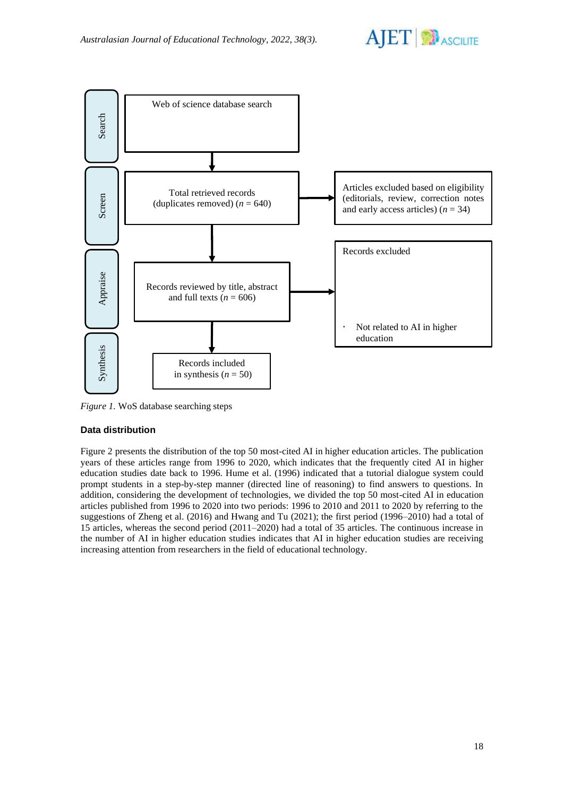



*Figure 1.* WoS database searching steps

# **Data distribution**

Figure 2 presents the distribution of the top 50 most-cited AI in higher education articles. The publication years of these articles range from 1996 to 2020, which indicates that the frequently cited AI in higher education studies date back to 1996. Hume et al. (1996) indicated that a tutorial dialogue system could prompt students in a step-by-step manner (directed line of reasoning) to find answers to questions. In addition, considering the development of technologies, we divided the top 50 most-cited AI in education articles published from 1996 to 2020 into two periods: 1996 to 2010 and 2011 to 2020 by referring to the suggestions of Zheng et al. (2016) and Hwang and Tu (2021); the first period (1996–2010) had a total of 15 articles, whereas the second period (2011–2020) had a total of 35 articles. The continuous increase in the number of AI in higher education studies indicates that AI in higher education studies are receiving increasing attention from researchers in the field of educational technology.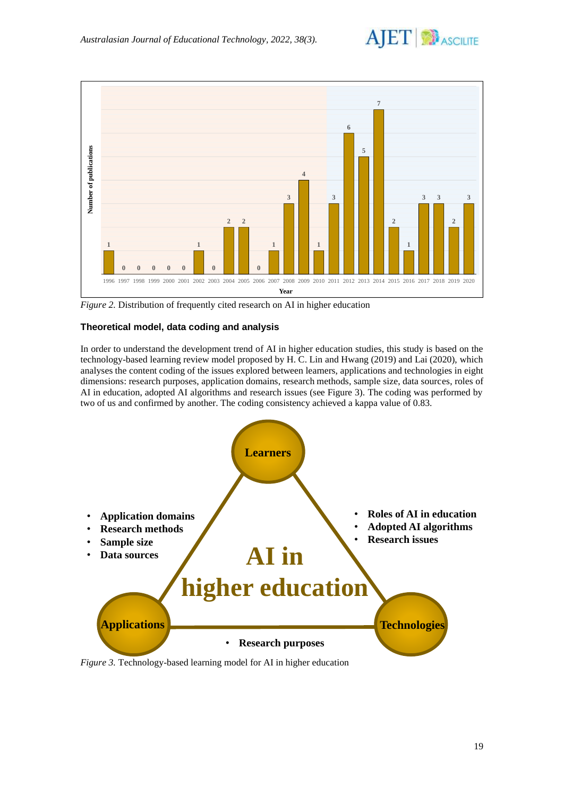



*Figure 2.* Distribution of frequently cited research on AI in higher education

# **Theoretical model, data coding and analysis**

In order to understand the development trend of AI in higher education studies, this study is based on the technology-based learning review model proposed by H. C. Lin and Hwang (2019) and Lai (2020), which analyses the content coding of the issues explored between learners, applications and technologies in eight dimensions: research purposes, application domains, research methods, sample size, data sources, roles of AI in education, adopted AI algorithms and research issues (see Figure 3). The coding was performed by two of us and confirmed by another. The coding consistency achieved a kappa value of 0.83.



*Figure 3.* Technology-based learning model for AI in higher education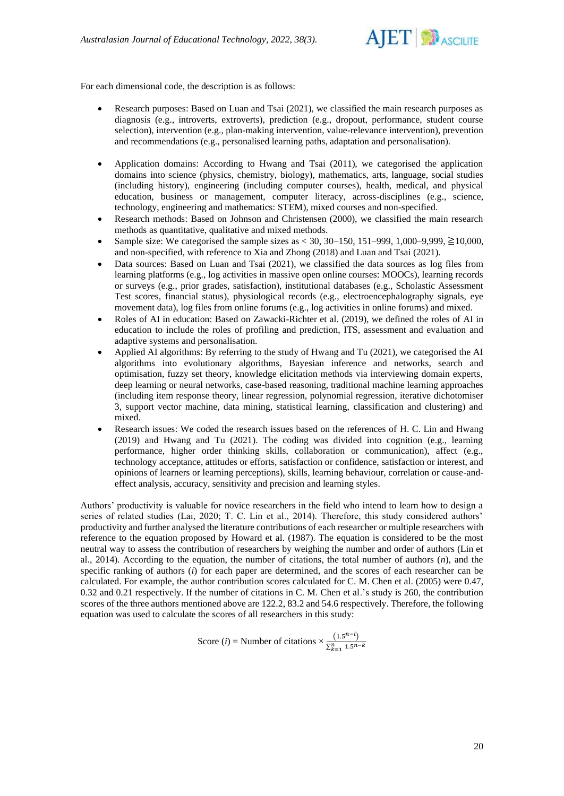

For each dimensional code, the description is as follows:

- Research purposes: Based on Luan and Tsai (2021), we classified the main research purposes as diagnosis (e.g., introverts, extroverts), prediction (e.g., dropout, performance, student course selection), intervention (e.g., plan-making intervention, value-relevance intervention), prevention and recommendations (e.g., personalised learning paths, adaptation and personalisation).
- Application domains: According to Hwang and Tsai (2011), we categorised the application domains into science (physics, chemistry, biology), mathematics, arts, language, social studies (including history), engineering (including computer courses), health, medical, and physical education, business or management, computer literacy, across-disciplines (e.g., science, technology, engineering and mathematics: STEM), mixed courses and non-specified.
- Research methods: Based on Johnson and Christensen (2000), we classified the main research methods as quantitative, qualitative and mixed methods.
- Sample size: We categorised the sample sizes as < 30, 30–150, 151–999, 1,000–9,999,  $\geq$ 10,000, and non-specified, with reference to Xia and Zhong (2018) and Luan and Tsai (2021).
- Data sources: Based on Luan and Tsai (2021), we classified the data sources as log files from learning platforms (e.g., log activities in massive open online courses: MOOCs), learning records or surveys (e.g., prior grades, satisfaction), institutional databases (e.g., Scholastic Assessment Test scores, financial status), physiological records (e.g., electroencephalography signals, eye movement data), log files from online forums (e.g., log activities in online forums) and mixed.
- Roles of AI in education: Based on Zawacki-Richter et al. (2019), we defined the roles of AI in education to include the roles of profiling and prediction, ITS, assessment and evaluation and adaptive systems and personalisation.
- Applied AI algorithms: By referring to the study of Hwang and Tu (2021), we categorised the AI algorithms into evolutionary algorithms, Bayesian inference and networks, search and optimisation, fuzzy set theory, knowledge elicitation methods via interviewing domain experts, deep learning or neural networks, case-based reasoning, traditional machine learning approaches (including item response theory, linear regression, polynomial regression, iterative dichotomiser 3, support vector machine, data mining, statistical learning, classification and clustering) and mixed.
- Research issues: We coded the research issues based on the references of H. C. Lin and Hwang (2019) and Hwang and Tu (2021). The coding was divided into cognition (e.g., learning performance, higher order thinking skills, collaboration or communication), affect (e.g., technology acceptance, attitudes or efforts, satisfaction or confidence, satisfaction or interest, and opinions of learners or learning perceptions), skills, learning behaviour, correlation or cause-andeffect analysis, accuracy, sensitivity and precision and learning styles.

Authors' productivity is valuable for novice researchers in the field who intend to learn how to design a series of related studies (Lai, 2020; T. C. Lin et al., 2014). Therefore, this study considered authors' productivity and further analysed the literature contributions of each researcher or multiple researchers with reference to the equation proposed by Howard et al. (1987). The equation is considered to be the most neutral way to assess the contribution of researchers by weighing the number and order of authors (Lin et al., 2014). According to the equation, the number of citations, the total number of authors (*n*), and the specific ranking of authors (*i*) for each paper are determined, and the scores of each researcher can be calculated. For example, the author contribution scores calculated for C. M. Chen et al. (2005) were 0.47, 0.32 and 0.21 respectively. If the number of citations in C. M. Chen et al.'s study is 260, the contribution scores of the three authors mentioned above are 122.2, 83.2 and 54.6 respectively. Therefore, the following equation was used to calculate the scores of all researchers in this study:

> Score (*i*) = Number of citations  $\times \frac{(1.5^{n-i})}{2.5^{n-i}}$  $\sum_{k=1}^{n} 1.5^{n-k}$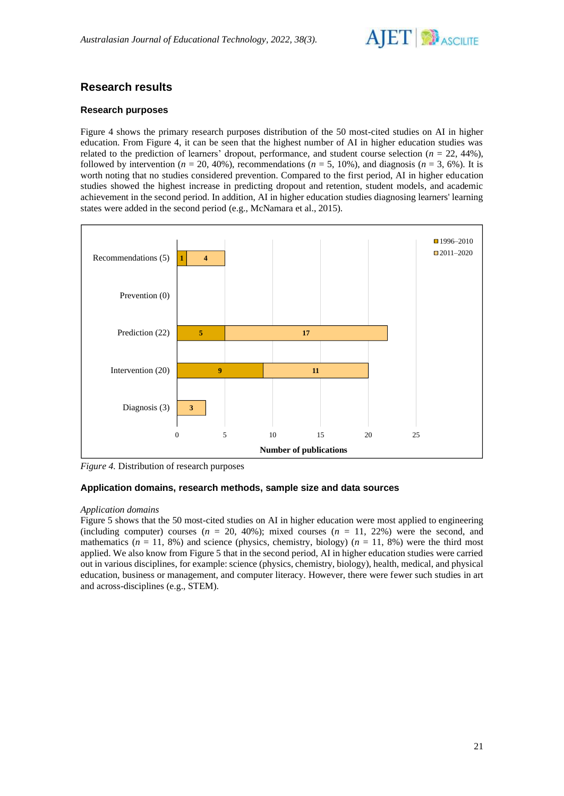

# **Research results**

## **Research purposes**

Figure 4 shows the primary research purposes distribution of the 50 most-cited studies on AI in higher education. From Figure 4, it can be seen that the highest number of AI in higher education studies was related to the prediction of learners' dropout, performance, and student course selection  $(n = 22, 44\%)$ , followed by intervention ( $n = 20, 40\%$ ), recommendations ( $n = 5, 10\%$ ), and diagnosis ( $n = 3, 6\%$ ). It is worth noting that no studies considered prevention. Compared to the first period, AI in higher education studies showed the highest increase in predicting dropout and retention, student models, and academic achievement in the second period. In addition, AI in higher education studies diagnosing learners' learning states were added in the second period (e.g., McNamara et al., 2015).



*Figure 4.* Distribution of research purposes

## **Application domains, research methods, sample size and data sources**

## *Application domains*

Figure 5 shows that the 50 most-cited studies on AI in higher education were most applied to engineering (including computer) courses  $(n = 20, 40\%)$ ; mixed courses  $(n = 11, 22\%)$  were the second, and mathematics  $(n = 11, 8\%)$  and science (physics, chemistry, biology)  $(n = 11, 8\%)$  were the third most applied. We also know from Figure 5 that in the second period, AI in higher education studies were carried out in various disciplines, for example: science (physics, chemistry, biology), health, medical, and physical education, business or management, and computer literacy. However, there were fewer such studies in art and across-disciplines (e.g., STEM).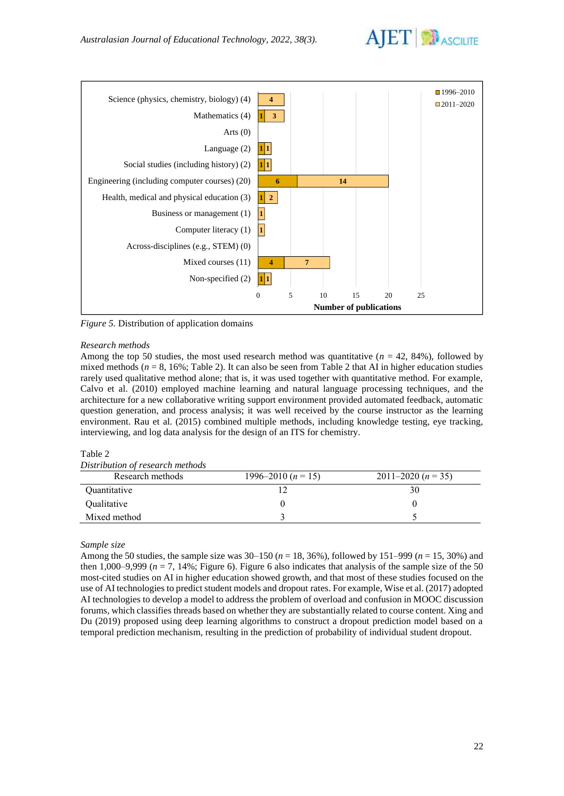



*Figure 5.* Distribution of application domains

#### *Research methods*

Among the top 50 studies, the most used research method was quantitative  $(n = 42, 84\%)$ , followed by mixed methods  $(n = 8, 16\%)$ ; Table 2). It can also be seen from Table 2 that AI in higher education studies rarely used qualitative method alone; that is, it was used together with quantitative method. For example, Calvo et al. (2010) employed machine learning and natural language processing techniques, and the architecture for a new collaborative writing support environment provided automated feedback, automatic question generation, and process analysis; it was well received by the course instructor as the learning environment. Rau et al. (2015) combined multiple methods, including knowledge testing, eye tracking, interviewing, and log data analysis for the design of an ITS for chemistry.

### Table 2

| Research methods | 1996–2010 ( $n = 15$ ) | 2011–2020 $(n=35)$ |
|------------------|------------------------|--------------------|
| Quantitative     |                        | 30                 |
| Qualitative      |                        |                    |
| Mixed method     |                        |                    |

## *Sample size*

Among the 50 studies, the sample size was 30–150 (*n* = 18, 36%), followed by 151–999 (*n* = 15, 30%) and then 1,000–9,999 ( $n = 7$ , 14%; Figure 6). Figure 6 also indicates that analysis of the sample size of the 50 most-cited studies on AI in higher education showed growth, and that most of these studies focused on the use of AI technologies to predict student models and dropout rates. For example, Wise et al. (2017) adopted AI technologies to develop a model to address the problem of overload and confusion in MOOC discussion forums, which classifies threads based on whether they are substantially related to course content. Xing and Du (2019) proposed using deep learning algorithms to construct a dropout prediction model based on a temporal prediction mechanism, resulting in the prediction of probability of individual student dropout.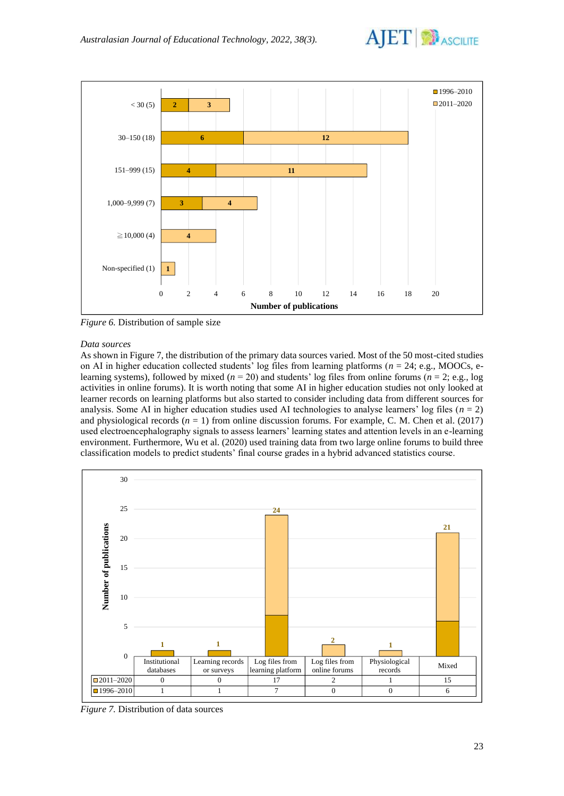



*Figure 6.* Distribution of sample size

#### *Data sources*

As shown in Figure 7, the distribution of the primary data sources varied. Most of the 50 most-cited studies on AI in higher education collected students' log files from learning platforms (*n* = 24; e.g., MOOCs, elearning systems), followed by mixed ( $n = 20$ ) and students' log files from online forums ( $n = 2$ ; e.g., log activities in online forums). It is worth noting that some AI in higher education studies not only looked at learner records on learning platforms but also started to consider including data from different sources for analysis. Some AI in higher education studies used AI technologies to analyse learners' log files  $(n = 2)$ and physiological records (*n* = 1) from online discussion forums. For example, C. M. Chen et al. (2017) used electroencephalography signals to assess learners' learning states and attention levels in an e-learning environment. Furthermore, Wu et al. (2020) used training data from two large online forums to build three classification models to predict students' final course grades in a hybrid advanced statistics course.



*Figure 7.* Distribution of data sources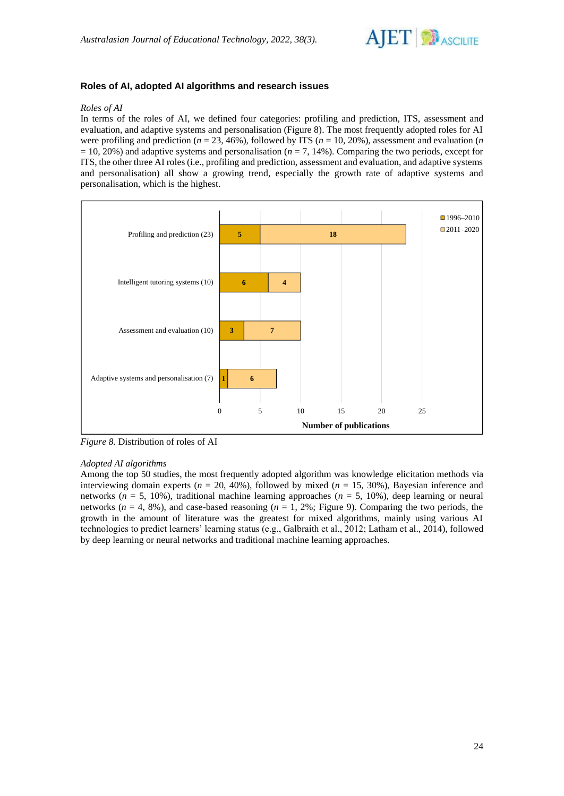

# **Roles of AI, adopted AI algorithms and research issues**

#### *Roles of AI*

In terms of the roles of AI, we defined four categories: profiling and prediction, ITS, assessment and evaluation, and adaptive systems and personalisation (Figure 8). The most frequently adopted roles for AI were profiling and prediction ( $n = 23, 46\%$ ), followed by ITS ( $n = 10, 20\%$ ), assessment and evaluation (*n*  $= 10, 20\%$ ) and adaptive systems and personalisation ( $n = 7, 14\%$ ). Comparing the two periods, except for ITS, the other three AI roles (i.e., profiling and prediction, assessment and evaluation, and adaptive systems and personalisation) all show a growing trend, especially the growth rate of adaptive systems and personalisation, which is the highest.



*Figure 8.* Distribution of roles of AI

#### *Adopted AI algorithms*

Among the top 50 studies, the most frequently adopted algorithm was knowledge elicitation methods via interviewing domain experts ( $n = 20, 40\%$ ), followed by mixed ( $n = 15, 30\%$ ), Bayesian inference and networks ( $n = 5$ , 10%), traditional machine learning approaches ( $n = 5$ , 10%), deep learning or neural networks  $(n = 4, 8\%)$ , and case-based reasoning  $(n = 1, 2\%)$ ; Figure 9). Comparing the two periods, the growth in the amount of literature was the greatest for mixed algorithms, mainly using various AI technologies to predict learners' learning status (e.g., Galbraith et al., 2012; Latham et al., 2014), followed by deep learning or neural networks and traditional machine learning approaches.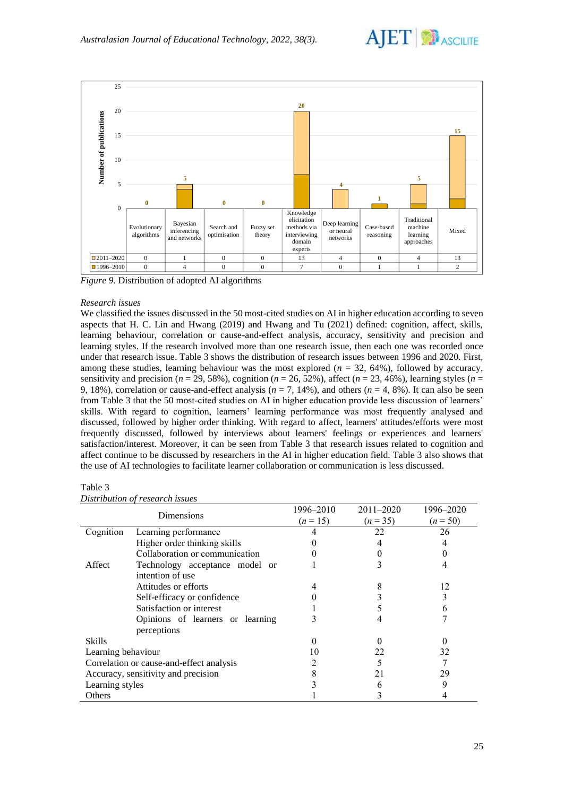



*Figure 9.* Distribution of adopted AI algorithms

#### *Research issues*

We classified the issues discussed in the 50 most-cited studies on AI in higher education according to seven aspects that H. C. Lin and Hwang (2019) and Hwang and Tu (2021) defined: cognition, affect, skills, learning behaviour, correlation or cause-and-effect analysis, accuracy, sensitivity and precision and learning styles. If the research involved more than one research issue, then each one was recorded once under that research issue. Table 3 shows the distribution of research issues between 1996 and 2020. First, among these studies, learning behaviour was the most explored  $(n = 32, 64%)$ , followed by accuracy, sensitivity and precision ( $n = 29, 58\%$ ), cognition ( $n = 26, 52\%$ ), affect ( $n = 23, 46\%$ ), learning styles ( $n =$ 9, 18%), correlation or cause-and-effect analysis  $(n = 7, 14)$ , and others  $(n = 4, 8)$ . It can also be seen from Table 3 that the 50 most-cited studies on AI in higher education provide less discussion of learners' skills. With regard to cognition, learners' learning performance was most frequently analysed and discussed, followed by higher order thinking. With regard to affect, learners' attitudes/efforts were most frequently discussed, followed by interviews about learners' feelings or experiences and learners' satisfaction/interest. Moreover, it can be seen from Table 3 that research issues related to cognition and affect continue to be discussed by researchers in the AI in higher education field. Table 3 also shows that the use of AI technologies to facilitate learner collaboration or communication is less discussed.

#### Table 3

| Distribution of research issues |  |  |  |
|---------------------------------|--|--|--|
|---------------------------------|--|--|--|

| Dimensions                               |                                  | 1996–2010 | $2011 - 2020$ | 1996–2020  |
|------------------------------------------|----------------------------------|-----------|---------------|------------|
|                                          |                                  | $(n=15)$  | $(n=35)$      | $(n = 50)$ |
| Cognition<br>Learning performance        |                                  |           | 22            | 26         |
|                                          | Higher order thinking skills     |           |               |            |
|                                          | Collaboration or communication   |           |               |            |
| Affect                                   | Technology acceptance model or   |           |               |            |
|                                          | intention of use                 |           |               |            |
|                                          | Attitudes or efforts             |           |               | 12         |
|                                          | Self-efficacy or confidence      |           |               |            |
|                                          | Satisfaction or interest         |           |               |            |
|                                          | Opinions of learners or learning |           |               |            |
|                                          | perceptions                      |           |               |            |
| <b>Skills</b>                            |                                  |           |               |            |
| Learning behaviour                       |                                  |           | 22            | 32         |
| Correlation or cause-and-effect analysis |                                  |           |               |            |
| Accuracy, sensitivity and precision      |                                  |           |               | 29         |
| Learning styles                          |                                  |           |               | 9          |
| Others                                   |                                  |           |               |            |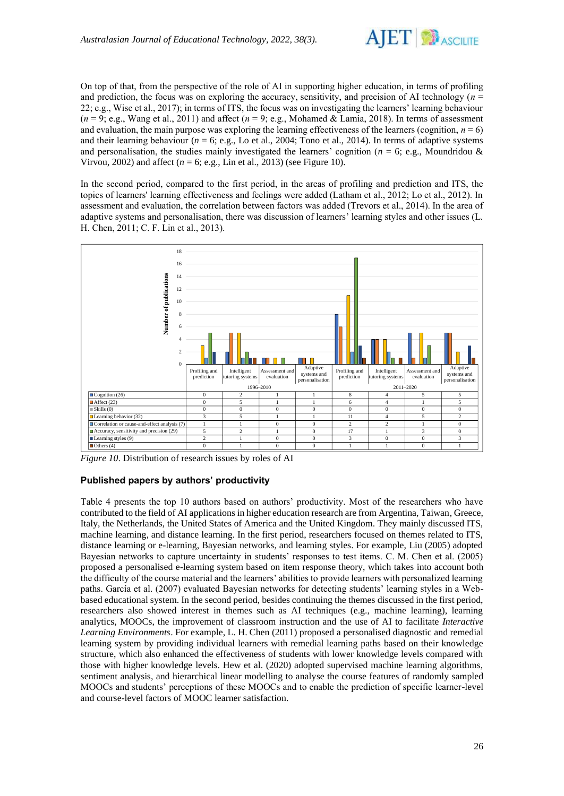

On top of that, from the perspective of the role of AI in supporting higher education, in terms of profiling and prediction, the focus was on exploring the accuracy, sensitivity, and precision of AI technology (*n* = 22; e.g., Wise et al., 2017); in terms of ITS, the focus was on investigating the learners' learning behaviour  $(n = 9; e.g., Wang et al., 2011)$  and affect  $(n = 9; e.g., Mohamed & Lamia, 2018)$ . In terms of assessment and evaluation, the main purpose was exploring the learning effectiveness of the learners (cognition,  $n = 6$ ) and their learning behaviour  $(n = 6; e.g., Lo et al., 2004; Tono et al., 2014)$ . In terms of adaptive systems and personalisation, the studies mainly investigated the learners' cognition ( $n = 6$ ; e.g., Moundridou & Virvou, 2002) and affect ( $n = 6$ ; e.g., Lin et al., 2013) (see Figure 10).

In the second period, compared to the first period, in the areas of profiling and prediction and ITS, the topics of learners' learning effectiveness and feelings were added (Latham et al., 2012; Lo et al., 2012). In assessment and evaluation, the correlation between factors was added (Trevors et al., 2014). In the area of adaptive systems and personalisation, there was discussion of learners' learning styles and other issues (L. H. Chen, 2011; C. F. Lin et al., 2013).



*Figure 10*. Distribution of research issues by roles of AI

## **Published papers by authors' productivity**

Table 4 presents the top 10 authors based on authors' productivity. Most of the researchers who have contributed to the field of AI applications in higher education research are from Argentina, Taiwan, Greece, Italy, the Netherlands, the United States of America and the United Kingdom. They mainly discussed ITS, machine learning, and distance learning. In the first period, researchers focused on themes related to ITS, distance learning or e-learning, Bayesian networks, and learning styles. For example, Liu (2005) adopted Bayesian networks to capture uncertainty in students' responses to test items. C. M. Chen et al. (2005) proposed a personalised e-learning system based on item response theory, which takes into account both the difficulty of the course material and the learners' abilities to provide learners with personalized learning paths. García et al. (2007) evaluated Bayesian networks for detecting students' learning styles in a Webbased educational system. In the second period, besides continuing the themes discussed in the first period, researchers also showed interest in themes such as AI techniques (e.g., machine learning), learning analytics, MOOCs, the improvement of classroom instruction and the use of AI to facilitate *Interactive Learning Environments*. For example, L. H. Chen (2011) proposed a personalised diagnostic and remedial learning system by providing individual learners with remedial learning paths based on their knowledge structure, which also enhanced the effectiveness of students with lower knowledge levels compared with those with higher knowledge levels. Hew et al. (2020) adopted supervised machine learning algorithms, sentiment analysis, and hierarchical linear modelling to analyse the course features of randomly sampled MOOCs and students' perceptions of these MOOCs and to enable the prediction of specific learner-level and course-level factors of MOOC learner satisfaction.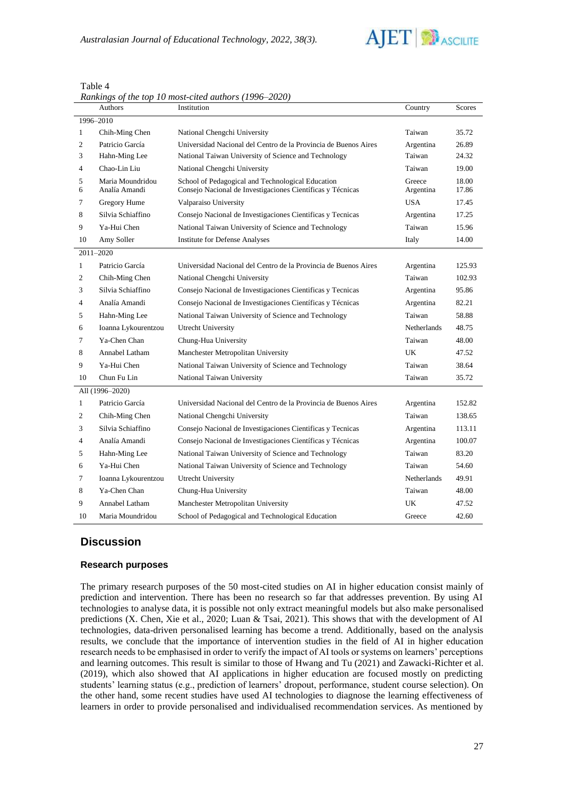

|                | Authors                           | Institution                                                                                                     | Country             | Scores         |
|----------------|-----------------------------------|-----------------------------------------------------------------------------------------------------------------|---------------------|----------------|
|                | 1996-2010                         |                                                                                                                 |                     |                |
| $\mathbf{1}$   | Chih-Ming Chen                    | National Chengchi University                                                                                    | Taiwan              | 35.72          |
| 2              | Patricio García                   | Universidad Nacional del Centro de la Provincia de Buenos Aires                                                 | Argentina           | 26.89          |
| 3              | Hahn-Ming Lee                     | National Taiwan University of Science and Technology                                                            | Taiwan              | 24.32          |
| $\overline{4}$ | Chao-Lin Liu                      | National Chengchi University                                                                                    | Taiwan              | 19.00          |
| 5<br>6         | Maria Moundridou<br>Analía Amandi | School of Pedagogical and Technological Education<br>Consejo Nacional de Investigaciones Científicas y Técnicas | Greece<br>Argentina | 18.00<br>17.86 |
| 7              | Gregory Hume                      | Valparaiso University                                                                                           | <b>USA</b>          | 17.45          |
| 8              | Silvia Schiaffino                 | Consejo Nacional de Investigaciones Científicas y Tecnicas                                                      | Argentina           | 17.25          |
| 9              | Ya-Hui Chen                       | National Taiwan University of Science and Technology                                                            | Taiwan              | 15.96          |
| 10             | Amy Soller                        | <b>Institute for Defense Analyses</b>                                                                           | Italy               | 14.00          |
|                | 2011-2020                         |                                                                                                                 |                     |                |
| $\mathbf{1}$   | Patricio García                   | Universidad Nacional del Centro de la Provincia de Buenos Aires                                                 | Argentina           | 125.93         |
| 2              | Chih-Ming Chen                    | National Chengchi University                                                                                    | Taiwan              | 102.93         |
| 3              | Silvia Schiaffino                 | Consejo Nacional de Investigaciones Científicas y Tecnicas                                                      | Argentina           | 95.86          |
| 4              | Analía Amandi                     | Consejo Nacional de Investigaciones Científicas y Técnicas                                                      | Argentina           | 82.21          |
| 5              | Hahn-Ming Lee                     | National Taiwan University of Science and Technology                                                            | Taiwan              | 58.88          |
| 6              | Ioanna Lykourentzou               | Utrecht University                                                                                              | Netherlands         | 48.75          |
| $\tau$         | Ya-Chen Chan                      | Chung-Hua University                                                                                            | Taiwan              | 48.00          |
| 8              | Annabel Latham                    | Manchester Metropolitan University                                                                              | UK                  | 47.52          |
| 9              | Ya-Hui Chen                       | National Taiwan University of Science and Technology                                                            | Taiwan              | 38.64          |
| 10             | Chun Fu Lin                       | National Taiwan University                                                                                      | Taiwan              | 35.72          |
|                | All (1996-2020)                   |                                                                                                                 |                     |                |
| $\mathbf{1}$   | Patricio García                   | Universidad Nacional del Centro de la Provincia de Buenos Aires                                                 | Argentina           | 152.82         |
| 2              | Chih-Ming Chen                    | National Chengchi University                                                                                    | Taiwan              | 138.65         |
| 3              | Silvia Schiaffino                 | Consejo Nacional de Investigaciones Científicas y Tecnicas                                                      | Argentina           | 113.11         |
| $\overline{4}$ | Analía Amandi                     | Consejo Nacional de Investigaciones Científicas y Técnicas                                                      | Argentina           | 100.07         |
| 5              | Hahn-Ming Lee                     | National Taiwan University of Science and Technology                                                            | Taiwan              | 83.20          |
| 6              | Ya-Hui Chen                       | National Taiwan University of Science and Technology                                                            | Taiwan              | 54.60          |
| 7              | Ioanna Lykourentzou               | Utrecht University                                                                                              | Netherlands         | 49.91          |
| 8              | Ya-Chen Chan                      | Chung-Hua University                                                                                            | Taiwan              | 48.00          |
| 9              | Annabel Latham                    | Manchester Metropolitan University                                                                              | UK                  | 47.52          |
| 10             | Maria Moundridou                  | School of Pedagogical and Technological Education                                                               | Greece              | 42.60          |

Table 4 *Rankings of the top 10 most-cited authors (1996*–*2020)*

# **Discussion**

## **Research purposes**

The primary research purposes of the 50 most-cited studies on AI in higher education consist mainly of prediction and intervention. There has been no research so far that addresses prevention. By using AI technologies to analyse data, it is possible not only extract meaningful models but also make personalised predictions (X. Chen, Xie et al., 2020; Luan & Tsai, 2021). This shows that with the development of AI technologies, data-driven personalised learning has become a trend. Additionally, based on the analysis results, we conclude that the importance of intervention studies in the field of AI in higher education research needs to be emphasised in order to verify the impact of AI tools or systems on learners' perceptions and learning outcomes. This result is similar to those of Hwang and Tu (2021) and Zawacki-Richter et al. (2019), which also showed that AI applications in higher education are focused mostly on predicting students' learning status (e.g., prediction of learners' dropout, performance, student course selection). On the other hand, some recent studies have used AI technologies to diagnose the learning effectiveness of learners in order to provide personalised and individualised recommendation services. As mentioned by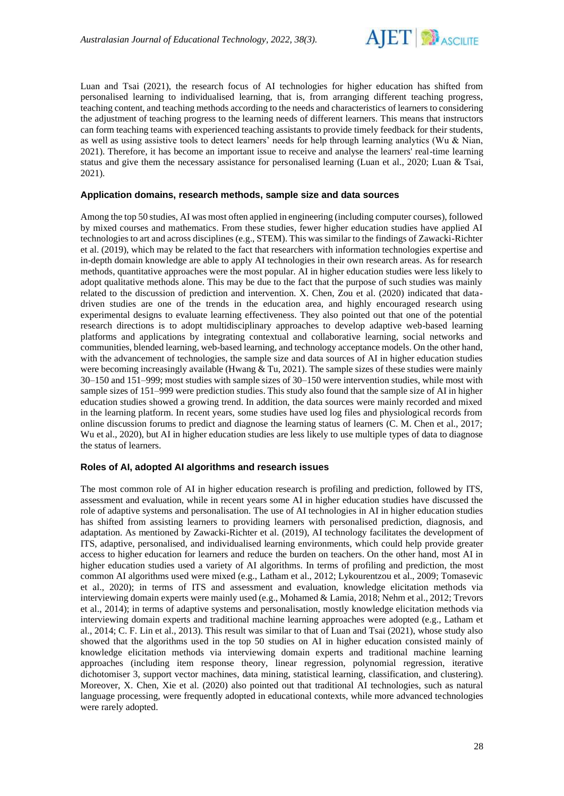

Luan and Tsai (2021), the research focus of AI technologies for higher education has shifted from personalised learning to individualised learning, that is, from arranging different teaching progress, teaching content, and teaching methods according to the needs and characteristics of learners to considering the adjustment of teaching progress to the learning needs of different learners. This means that instructors can form teaching teams with experienced teaching assistants to provide timely feedback for their students, as well as using assistive tools to detect learners' needs for help through learning analytics (Wu & Nian, 2021). Therefore, it has become an important issue to receive and analyse the learners' real-time learning status and give them the necessary assistance for personalised learning (Luan et al., 2020; Luan & Tsai, 2021).

#### **Application domains, research methods, sample size and data sources**

Among the top 50 studies, AI was most often applied in engineering (including computer courses), followed by mixed courses and mathematics. From these studies, fewer higher education studies have applied AI technologies to art and across disciplines (e.g., STEM). This was similar to the findings of Zawacki-Richter et al. (2019), which may be related to the fact that researchers with information technologies expertise and in-depth domain knowledge are able to apply AI technologies in their own research areas. As for research methods, quantitative approaches were the most popular. AI in higher education studies were less likely to adopt qualitative methods alone. This may be due to the fact that the purpose of such studies was mainly related to the discussion of prediction and intervention. X. Chen, Zou et al. (2020) indicated that datadriven studies are one of the trends in the education area, and highly encouraged research using experimental designs to evaluate learning effectiveness. They also pointed out that one of the potential research directions is to adopt multidisciplinary approaches to develop adaptive web-based learning platforms and applications by integrating contextual and collaborative learning, social networks and communities, blended learning, web-based learning, and technology acceptance models. On the other hand, with the advancement of technologies, the sample size and data sources of AI in higher education studies were becoming increasingly available (Hwang  $& \text{Tu}, 2021$ ). The sample sizes of these studies were mainly 30–150 and 151–999; most studies with sample sizes of 30–150 were intervention studies, while most with sample sizes of 151–999 were prediction studies. This study also found that the sample size of AI in higher education studies showed a growing trend. In addition, the data sources were mainly recorded and mixed in the learning platform. In recent years, some studies have used log files and physiological records from online discussion forums to predict and diagnose the learning status of learners (C. M. Chen et al., 2017; Wu et al., 2020), but AI in higher education studies are less likely to use multiple types of data to diagnose the status of learners.

## **Roles of AI, adopted AI algorithms and research issues**

The most common role of AI in higher education research is profiling and prediction, followed by ITS, assessment and evaluation, while in recent years some AI in higher education studies have discussed the role of adaptive systems and personalisation. The use of AI technologies in AI in higher education studies has shifted from assisting learners to providing learners with personalised prediction, diagnosis, and adaptation. As mentioned by Zawacki-Richter et al. (2019), AI technology facilitates the development of ITS, adaptive, personalised, and individualised learning environments, which could help provide greater access to higher education for learners and reduce the burden on teachers. On the other hand, most AI in higher education studies used a variety of AI algorithms. In terms of profiling and prediction, the most common AI algorithms used were mixed (e.g., Latham et al., 2012; Lykourentzou et al., 2009; Tomasevic et al., 2020); in terms of ITS and assessment and evaluation, knowledge elicitation methods via interviewing domain experts were mainly used (e.g., Mohamed & Lamia, 2018; Nehm et al., 2012; Trevors et al., 2014); in terms of adaptive systems and personalisation, mostly knowledge elicitation methods via interviewing domain experts and traditional machine learning approaches were adopted (e.g., Latham et al., 2014; C. F. Lin et al., 2013). This result was similar to that of Luan and Tsai (2021), whose study also showed that the algorithms used in the top 50 studies on AI in higher education consisted mainly of knowledge elicitation methods via interviewing domain experts and traditional machine learning approaches (including item response theory, linear regression, polynomial regression, iterative dichotomiser 3, support vector machines, data mining, statistical learning, classification, and clustering). Moreover, X. Chen, Xie et al. (2020) also pointed out that traditional AI technologies, such as natural language processing, were frequently adopted in educational contexts, while more advanced technologies were rarely adopted.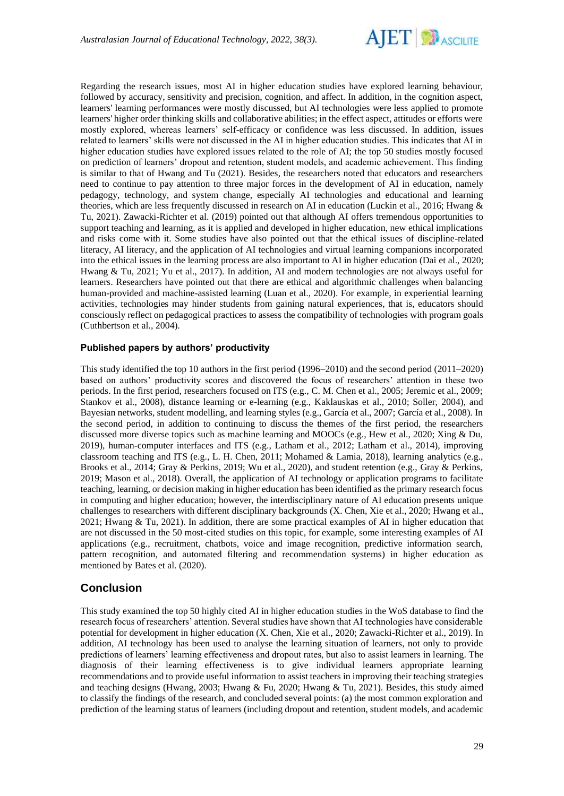

Regarding the research issues, most AI in higher education studies have explored learning behaviour, followed by accuracy, sensitivity and precision, cognition, and affect. In addition, in the cognition aspect, learners' learning performances were mostly discussed, but AI technologies were less applied to promote learners' higher order thinking skills and collaborative abilities; in the effect aspect, attitudes or efforts were mostly explored, whereas learners' self-efficacy or confidence was less discussed. In addition, issues related to learners' skills were not discussed in the AI in higher education studies. This indicates that AI in higher education studies have explored issues related to the role of AI; the top 50 studies mostly focused on prediction of learners' dropout and retention, student models, and academic achievement. This finding is similar to that of Hwang and Tu (2021). Besides, the researchers noted that educators and researchers need to continue to pay attention to three major forces in the development of AI in education, namely pedagogy, technology, and system change, especially AI technologies and educational and learning theories, which are less frequently discussed in research on AI in education (Luckin et al., 2016; Hwang & Tu, 2021). Zawacki-Richter et al. (2019) pointed out that although AI offers tremendous opportunities to support teaching and learning, as it is applied and developed in higher education, new ethical implications and risks come with it. Some studies have also pointed out that the ethical issues of discipline-related literacy, AI literacy, and the application of AI technologies and virtual learning companions incorporated into the ethical issues in the learning process are also important to AI in higher education (Dai et al., 2020; Hwang & Tu, 2021; Yu et al., 2017). In addition, AI and modern technologies are not always useful for learners. Researchers have pointed out that there are ethical and algorithmic challenges when balancing human-provided and machine-assisted learning (Luan et al., 2020). For example, in experiential learning activities, technologies may hinder students from gaining natural experiences, that is, educators should consciously reflect on pedagogical practices to assess the compatibility of technologies with program goals (Cuthbertson et al., 2004).

#### **Published papers by authors' productivity**

This study identified the top 10 authors in the first period (1996–2010) and the second period (2011–2020) based on authors' productivity scores and discovered the focus of researchers' attention in these two periods. In the first period, researchers focused on ITS (e.g., C. M. Chen et al., 2005; Jeremic et al., 2009; Stankov et al., 2008), distance learning or e-learning (e.g., Kaklauskas et al., 2010; Soller, 2004), and Bayesian networks, student modelling, and learning styles (e.g., García et al., 2007; García et al., 2008). In the second period, in addition to continuing to discuss the themes of the first period, the researchers discussed more diverse topics such as machine learning and MOOCs (e.g., Hew et al., 2020; Xing & Du, 2019), human-computer interfaces and ITS (e.g., Latham et al., 2012; Latham et al., 2014), improving classroom teaching and ITS (e.g., L. H. Chen, 2011; Mohamed & Lamia, 2018), learning analytics (e.g., Brooks et al., 2014; Gray & Perkins, 2019; Wu et al., 2020), and student retention (e.g., Gray & Perkins, 2019; Mason et al., 2018). Overall, the application of AI technology or application programs to facilitate teaching, learning, or decision making in higher education has been identified as the primary research focus in computing and higher education; however, the interdisciplinary nature of AI education presents unique challenges to researchers with different disciplinary backgrounds (X. Chen, Xie et al., 2020; Hwang et al., 2021; Hwang & Tu, 2021). In addition, there are some practical examples of AI in higher education that are not discussed in the 50 most-cited studies on this topic, for example, some interesting examples of AI applications (e.g., recruitment, chatbots, voice and image recognition, predictive information search, pattern recognition, and automated filtering and recommendation systems) in higher education as mentioned by Bates et al. (2020).

# **Conclusion**

This study examined the top 50 highly cited AI in higher education studies in the WoS database to find the research focus of researchers' attention. Several studies have shown that AI technologies have considerable potential for development in higher education (X. Chen, Xie et al., 2020; Zawacki-Richter et al., 2019). In addition, AI technology has been used to analyse the learning situation of learners, not only to provide predictions of learners' learning effectiveness and dropout rates, but also to assist learners in learning. The diagnosis of their learning effectiveness is to give individual learners appropriate learning recommendations and to provide useful information to assist teachers in improving their teaching strategies and teaching designs (Hwang, 2003; Hwang & Fu, 2020; Hwang & Tu, 2021). Besides, this study aimed to classify the findings of the research, and concluded several points: (a) the most common exploration and prediction of the learning status of learners (including dropout and retention, student models, and academic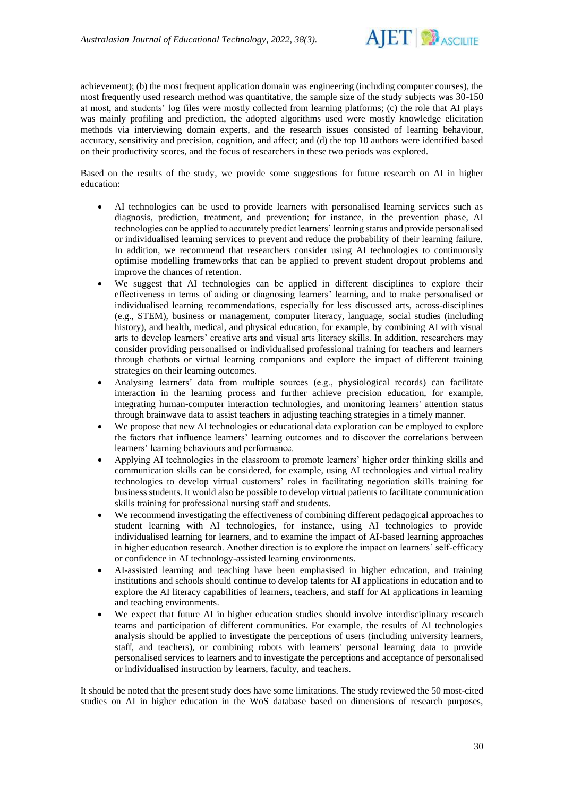

achievement); (b) the most frequent application domain was engineering (including computer courses), the most frequently used research method was quantitative, the sample size of the study subjects was 30-150 at most, and students' log files were mostly collected from learning platforms; (c) the role that AI plays was mainly profiling and prediction, the adopted algorithms used were mostly knowledge elicitation methods via interviewing domain experts, and the research issues consisted of learning behaviour, accuracy, sensitivity and precision, cognition, and affect; and (d) the top 10 authors were identified based on their productivity scores, and the focus of researchers in these two periods was explored.

Based on the results of the study, we provide some suggestions for future research on AI in higher education:

- AI technologies can be used to provide learners with personalised learning services such as diagnosis, prediction, treatment, and prevention; for instance, in the prevention phase, AI technologies can be applied to accurately predict learners' learning status and provide personalised or individualised learning services to prevent and reduce the probability of their learning failure. In addition, we recommend that researchers consider using AI technologies to continuously optimise modelling frameworks that can be applied to prevent student dropout problems and improve the chances of retention.
- We suggest that AI technologies can be applied in different disciplines to explore their effectiveness in terms of aiding or diagnosing learners' learning, and to make personalised or individualised learning recommendations, especially for less discussed arts, across-disciplines (e.g., STEM), business or management, computer literacy, language, social studies (including history), and health, medical, and physical education, for example, by combining AI with visual arts to develop learners' creative arts and visual arts literacy skills. In addition, researchers may consider providing personalised or individualised professional training for teachers and learners through chatbots or virtual learning companions and explore the impact of different training strategies on their learning outcomes.
- Analysing learners' data from multiple sources (e.g., physiological records) can facilitate interaction in the learning process and further achieve precision education, for example, integrating human-computer interaction technologies, and monitoring learners' attention status through brainwave data to assist teachers in adjusting teaching strategies in a timely manner.
- We propose that new AI technologies or educational data exploration can be employed to explore the factors that influence learners' learning outcomes and to discover the correlations between learners' learning behaviours and performance.
- Applying AI technologies in the classroom to promote learners' higher order thinking skills and communication skills can be considered, for example, using AI technologies and virtual reality technologies to develop virtual customers' roles in facilitating negotiation skills training for business students. It would also be possible to develop virtual patients to facilitate communication skills training for professional nursing staff and students.
- We recommend investigating the effectiveness of combining different pedagogical approaches to student learning with AI technologies, for instance, using AI technologies to provide individualised learning for learners, and to examine the impact of AI-based learning approaches in higher education research. Another direction is to explore the impact on learners' self-efficacy or confidence in AI technology-assisted learning environments.
- AI-assisted learning and teaching have been emphasised in higher education, and training institutions and schools should continue to develop talents for AI applications in education and to explore the AI literacy capabilities of learners, teachers, and staff for AI applications in learning and teaching environments.
- We expect that future AI in higher education studies should involve interdisciplinary research teams and participation of different communities. For example, the results of AI technologies analysis should be applied to investigate the perceptions of users (including university learners, staff, and teachers), or combining robots with learners' personal learning data to provide personalised services to learners and to investigate the perceptions and acceptance of personalised or individualised instruction by learners, faculty, and teachers.

It should be noted that the present study does have some limitations. The study reviewed the 50 most-cited studies on AI in higher education in the WoS database based on dimensions of research purposes,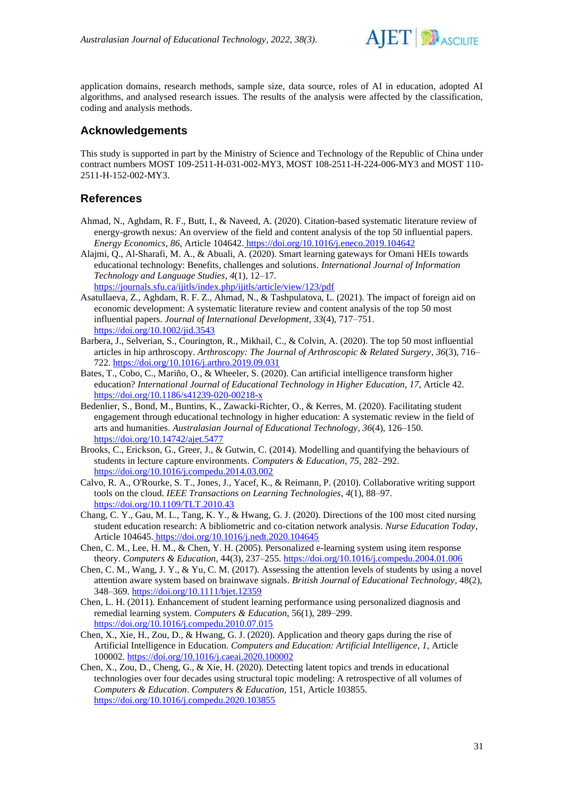

application domains, research methods, sample size, data source, roles of AI in education, adopted AI algorithms, and analysed research issues. The results of the analysis were affected by the classification, coding and analysis methods.

# **Acknowledgements**

This study is supported in part by the Ministry of Science and Technology of the Republic of China under contract numbers MOST 109-2511-H-031-002-MY3, MOST 108-2511-H-224-006-MY3 and MOST 110- 2511-H-152-002-MY3.

# **References**

- Ahmad, N., Aghdam, R. F., Butt, I., & Naveed, A. (2020). Citation-based systematic literature review of energy-growth nexus: An overview of the field and content analysis of the top 50 influential papers. *Energy Economics*, *86*, Article 104642. <https://doi.org/10.1016/j.eneco.2019.104642>
- Alajmi, Q., Al-Sharafi, M. A., & Abuali, A. (2020). Smart learning gateways for Omani HEIs towards educational technology: Benefits, challenges and solutions. *International Journal of Information Technology and Language Studies*, *4*(1), 12–17. <https://journals.sfu.ca/ijitls/index.php/ijitls/article/view/123/pdf>
- Asatullaeva, Z., Aghdam, R. F. Z., Ahmad, N., & Tashpulatova, L. (2021). The impact of foreign aid on economic development: A systematic literature review and content analysis of the top 50 most influential papers. *Journal of International Development*, *33*(4), 717–751. <https://doi.org/10.1002/jid.3543>
- Barbera, J., Selverian, S., Courington, R., Mikhail, C., & Colvin, A. (2020). The top 50 most influential articles in hip arthroscopy. *Arthroscopy: The Journal of Arthroscopic & Related Surgery*, *36*(3), 716– 722.<https://doi.org/10.1016/j.arthro.2019.09.031>
- Bates, T., Cobo, C., Mariño, O., & Wheeler, S. (2020). Can artificial intelligence transform higher education? *International Journal of Educational Technology in Higher Education*, *17*, Article 42. <https://doi.org/10.1186/s41239-020-00218-x>
- Bedenlier, S., Bond, M., Buntins, K., Zawacki-Richter, O., & Kerres, M. (2020). Facilitating student engagement through educational technology in higher education: A systematic review in the field of arts and humanities. *Australasian Journal of Educational Technology*, *36*(4), 126–150. <https://doi.org/10.14742/ajet.5477>
- Brooks, C., Erickson, G., Greer, J., & Gutwin, C. (2014). Modelling and quantifying the behaviours of students in lecture capture environments. *Computers & Education*, *75*, 282–292. <https://doi.org/10.1016/j.compedu.2014.03.002>
- Calvo, R. A., O'Rourke, S. T., Jones, J., Yacef, K., & Reimann, P. (2010). Collaborative writing support tools on the cloud. *IEEE Transactions on Learning Technologies*, *4*(1), 88–97. <https://doi.org/10.1109/TLT.2010.43>
- Chang, C. Y., Gau, M. L., Tang, K. Y., & Hwang, G. J. (2020). Directions of the 100 most cited nursing student education research: A bibliometric and co-citation network analysis. *Nurse Education Today*, Article 104645. <https://doi.org/10.1016/j.nedt.2020.104645>
- Chen, C. M., Lee, H. M., & Chen, Y. H. (2005). Personalized e-learning system using item response theory. *Computers & Education*, 44(3), 237–255.<https://doi.org/10.1016/j.compedu.2004.01.006>
- Chen, C. M., Wang, J. Y., & Yu, C. M. (2017). Assessing the attention levels of students by using a novel attention aware system based on brainwave signals. *British Journal of Educational Technology*, 48(2), 348–369.<https://doi.org/10.1111/bjet.12359>
- Chen, L. H. (2011). Enhancement of student learning performance using personalized diagnosis and remedial learning system. *Computers & Education*, 56(1), 289–299. https://doi.org/10.1016/j.compedu.2010.07.015
- Chen, X., Xie, H., Zou, D., & Hwang, G. J. (2020). Application and theory gaps during the rise of Artificial Intelligence in Education. *Computers and Education: Artificial Intelligence*, *1*, Article 100002.<https://doi.org/10.1016/j.caeai.2020.100002>
- Chen, X., Zou, D., Cheng, G., & Xie, H. (2020). Detecting latent topics and trends in educational technologies over four decades using structural topic modeling: A retrospective of all volumes of *Computers & Education*. *Computers & Education*, 151, Article 103855. <https://doi.org/10.1016/j.compedu.2020.103855>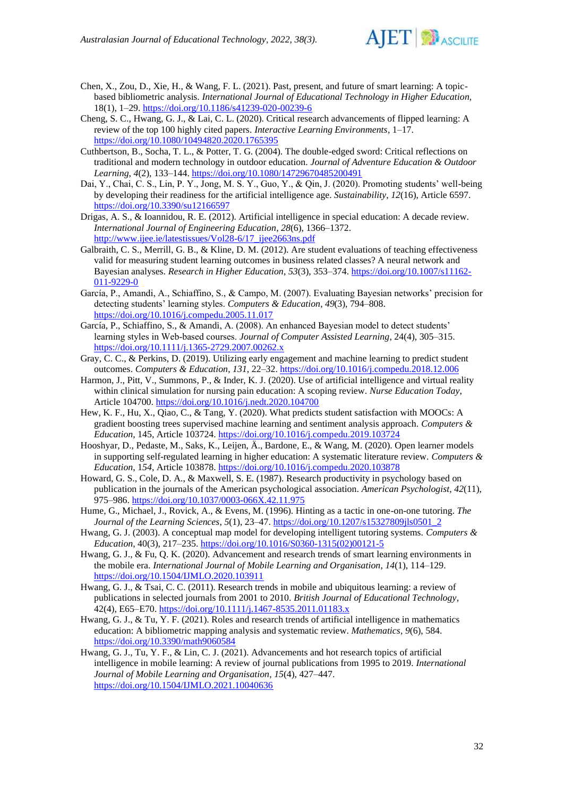

- Chen, X., Zou, D., Xie, H., & Wang, F. L. (2021). Past, present, and future of smart learning: A topicbased bibliometric analysis. *International Journal of Educational Technology in Higher Education*, 18(1), 1–29. <https://doi.org/10.1186/s41239-020-00239-6>
- Cheng, S. C., Hwang, G. J., & Lai, C. L. (2020). Critical research advancements of flipped learning: A review of the top 100 highly cited papers. *Interactive Learning Environments*, 1–17. <https://doi.org/10.1080/10494820.2020.1765395>
- Cuthbertson, B., Socha, T. L., & Potter, T. G. (2004). The double-edged sword: Critical reflections on traditional and modern technology in outdoor education. *Journal of Adventure Education & Outdoor Learning*, *4*(2), 133–144[. https://doi.org/10.1080/14729670485200491](https://doi.org/10.1080/14729670485200491)
- Dai, Y., Chai, C. S., Lin, P. Y., Jong, M. S. Y., Guo, Y., & Qin, J. (2020). Promoting students' well-being by developing their readiness for the artificial intelligence age. *Sustainability*, *12*(16), Article 6597. <https://doi.org/10.3390/su12166597>
- Drigas, A. S., & Ioannidou, R. E. (2012). Artificial intelligence in special education: A decade review. *International Journal of Engineering Education*, *28*(6), 1366–1372. [http://www.ijee.ie/latestissues/Vol28-6/17\\_ijee2663ns.pdf](http://www.ijee.ie/latestissues/Vol28-6/17_ijee2663ns.pdf)
- Galbraith, C. S., Merrill, G. B., & Kline, D. M. (2012). Are student evaluations of teaching effectiveness valid for measuring student learning outcomes in business related classes? A neural network and Bayesian analyses. *Research in Higher Education*, *53*(3), 353–374. [https://doi.org/10.1007/s11162-](https://doi.org/10.1007/s11162-011-9229-0) [011-9229-0](https://doi.org/10.1007/s11162-011-9229-0)
- García, P., Amandi, A., Schiaffino, S., & Campo, M. (2007). Evaluating Bayesian networks' precision for detecting students' learning styles. *Computers & Education*, *49*(3), 794–808. <https://doi.org/10.1016/j.compedu.2005.11.017>
- García, P., Schiaffino, S., & Amandi, A. (2008). An enhanced Bayesian model to detect students' learning styles in Web-based courses. *Journal of Computer Assisted Learning*, 24(4), 305–315. <https://doi.org/10.1111/j.1365-2729.2007.00262.x>
- Gray, C. C., & Perkins, D. (2019). Utilizing early engagement and machine learning to predict student outcomes. *Computers & Education*, *131*, 22–32[. https://doi.org/10.1016/j.compedu.2018.12.006](https://doi.org/10.1016/j.compedu.2018.12.006)
- Harmon, J., Pitt, V., Summons, P., & Inder, K. J. (2020). Use of artificial intelligence and virtual reality within clinical simulation for nursing pain education: A scoping review. *Nurse Education Today*, Article 104700[. https://doi.org/10.1016/j.nedt.2020.104700](https://doi.org/10.1016/j.nedt.2020.104700)
- Hew, K. F., Hu, X., Qiao, C., & Tang, Y. (2020). What predicts student satisfaction with MOOCs: A gradient boosting trees supervised machine learning and sentiment analysis approach. *Computers & Education*, 145, Article 103724[. https://doi.org/10.1016/j.compedu.2019.103724](https://doi.org/10.1016/j.compedu.2019.103724)
- Hooshyar, D., Pedaste, M., Saks, K., Leijen, Ä., Bardone, E., & Wang, M. (2020). Open learner models in supporting self-regulated learning in higher education: A systematic literature review. *Computers & Education*, 1*54*, Article 103878[. https://doi.org/10.1016/j.compedu.2020.103878](https://doi.org/10.1016/j.compedu.2020.103878)
- Howard, G. S., Cole, D. A., & Maxwell, S. E. (1987). Research productivity in psychology based on publication in the journals of the American psychological association. *American Psychologist*, *42*(11), 975–986.<https://doi.org/10.1037/0003-066X.42.11.975>
- Hume, G., Michael, J., Rovick, A., & Evens, M. (1996). Hinting as a tactic in one-on-one tutoring. *The Journal of the Learning Sciences*, *5*(1), 23–47. [https://doi.org/10.1207/s15327809jls0501\\_2](https://doi.org/10.1207/s15327809jls0501_2)
- Hwang, G. J. (2003). A conceptual map model for developing intelligent tutoring systems. *Computers & Education*, 40(3), 217–235. [https://doi.org/10.1016/S0360-1315\(02\)00121-5](https://doi.org/10.1016/S0360-1315(02)00121-5)
- Hwang, G. J., & Fu, Q. K. (2020). Advancement and research trends of smart learning environments in the mobile era. *International Journal of Mobile Learning and Organisation*, *14*(1), 114–129. <https://doi.org/10.1504/IJMLO.2020.103911>
- Hwang, G. J., & Tsai, C. C. (2011). Research trends in mobile and ubiquitous learning: a review of publications in selected journals from 2001 to 2010. *British Journal of Educational Technology*, 42(4), E65–E70.<https://doi.org/10.1111/j.1467-8535.2011.01183.x>
- Hwang, G. J., & Tu, Y. F. (2021). Roles and research trends of artificial intelligence in mathematics education: A bibliometric mapping analysis and systematic review. *Mathematics*, *9*(6), 584. <https://doi.org/10.3390/math9060584>
- Hwang, G. J., Tu, Y. F., & Lin, C. J. (2021). Advancements and hot research topics of artificial intelligence in mobile learning: A review of journal publications from 1995 to 2019. *International Journal of Mobile Learning and Organisation*, *15*(4), 427–447. <https://doi.org/10.1504/IJMLO.2021.10040636>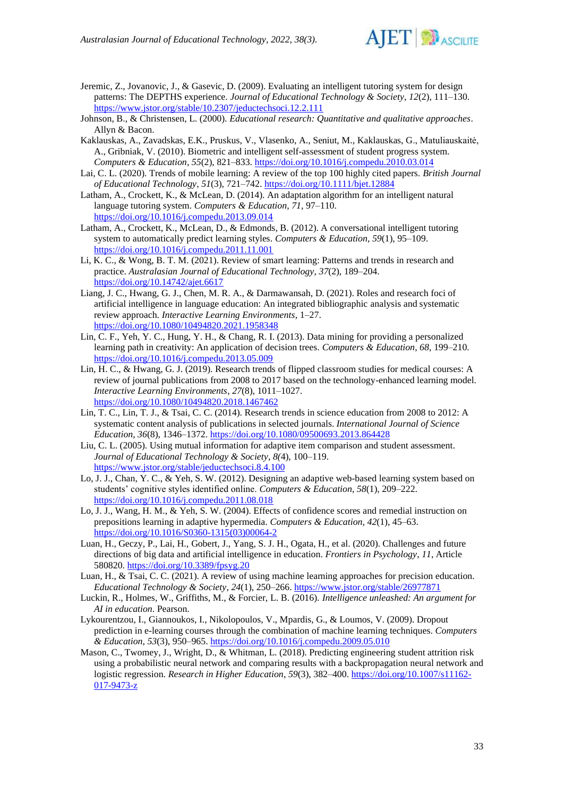

- Jeremic, Z., Jovanovic, J., & Gasevic, D. (2009). Evaluating an intelligent tutoring system for design patterns: The DEPTHS experience. *Journal of Educational Technology & Society*, *12*(2), 111–130. <https://www.jstor.org/stable/10.2307/jeductechsoci.12.2.111>
- Johnson, B., & Christensen, L. (2000). *Educational research: Quantitative and qualitative approaches*. Allyn & Bacon.
- Kaklauskas, A., Zavadskas, E.K., Pruskus, V., Vlasenko, A., Seniut, M., Kaklauskas, G., Matuliauskaitė, A., Gribniak, V. (2010). Biometric and intelligent self-assessment of student progress system. *Computers & Education*, *55*(2), 821–833[. https://doi.org/10.1016/j.compedu.2010.03.014](https://doi.org/10.1016/j.compedu.2010.03.014)
- Lai, C. L. (2020). Trends of mobile learning: A review of the top 100 highly cited papers. *British Journal of Educational Technology*, *51*(3), 721–742.<https://doi.org/10.1111/bjet.12884>
- Latham, A., Crockett, K., & McLean, D. (2014). An adaptation algorithm for an intelligent natural language tutoring system. *Computers & Education*, *71*, 97–110. <https://doi.org/10.1016/j.compedu.2013.09.014>
- Latham, A., Crockett, K., McLean, D., & Edmonds, B. (2012). A conversational intelligent tutoring system to automatically predict learning styles. *Computers & Education*, *59*(1), 95–109. <https://doi.org/10.1016/j.compedu.2011.11.001>
- Li, K. C., & Wong, B. T. M. (2021). Review of smart learning: Patterns and trends in research and practice. *Australasian Journal of Educational Technology*, *37*(2), 189–204. <https://doi.org/10.14742/ajet.6617>
- Liang, J. C., Hwang, G. J., Chen, M. R. A., & Darmawansah, D. (2021). Roles and research foci of artificial intelligence in language education: An integrated bibliographic analysis and systematic review approach. *Interactive Learning Environments*, 1–27. <https://doi.org/10.1080/10494820.2021.1958348>
- Lin, C. F., Yeh, Y. C., Hung, Y. H., & Chang, R. I. (2013). Data mining for providing a personalized learning path in creativity: An application of decision trees. *Computers & Education*, *68*, 199–210. <https://doi.org/10.1016/j.compedu.2013.05.009>
- Lin, H. C., & Hwang, G. J. (2019). Research trends of flipped classroom studies for medical courses: A review of journal publications from 2008 to 2017 based on the technology-enhanced learning model. *Interactive Learning Environments*, *27*(8), 1011–1027. <https://doi.org/10.1080/10494820.2018.1467462>
- Lin, T. C., Lin, T. J., & Tsai, C. C. (2014). Research trends in science education from 2008 to 2012: A systematic content analysis of publications in selected journals. *International Journal of Science Education*, *36*(8), 1346–1372.<https://doi.org/10.1080/09500693.2013.864428>
- Liu, C. L. (2005). Using mutual information for adaptive item comparison and student assessment. *Journal of Educational Technology & Society*, *8(*4), 100–119. <https://www.jstor.org/stable/jeductechsoci.8.4.100>
- Lo, J. J., Chan, Y. C., & Yeh, S. W. (2012). Designing an adaptive web-based learning system based on students' cognitive styles identified online. *Computers & Education*, *58*(1), 209–222. <https://doi.org/10.1016/j.compedu.2011.08.018>
- Lo, J. J., Wang, H. M., & Yeh, S. W. (2004). Effects of confidence scores and remedial instruction on prepositions learning in adaptive hypermedia. *Computers & Education*, *42*(1), 45–63. [https://doi.org/10.1016/S0360-1315\(03\)00064-2](https://doi.org/10.1016/S0360-1315(03)00064-2)
- Luan, H., Geczy, P., Lai, H., Gobert, J., Yang, S. J. H., Ogata, H., et al. (2020). Challenges and future directions of big data and artificial intelligence in education. *Frontiers in Psychology*, *11*, Article 580820.<https://doi.org/10.3389/fpsyg.20>
- Luan, H., & Tsai, C. C. (2021). A review of using machine learning approaches for precision education. *Educational Technology & Society*, *24*(1), 250–266. https://www.jstor.org/stable/26977871
- Luckin, R., Holmes, W., Griffiths, M., & Forcier, L. B. (2016). *Intelligence unleashed: An argument for AI in education*. Pearson.
- Lykourentzou, I., Giannoukos, I., Nikolopoulos, V., Mpardis, G., & Loumos, V. (2009). Dropout prediction in e-learning courses through the combination of machine learning techniques. *Computers & Education*, *53*(3), 950–965.<https://doi.org/10.1016/j.compedu.2009.05.010>
- Mason, C., Twomey, J., Wright, D., & Whitman, L. (2018). Predicting engineering student attrition risk using a probabilistic neural network and comparing results with a backpropagation neural network and logistic regression. *Research in Higher Education*, *59*(3), 382–400. [https://doi.org/10.1007/s11162-](https://doi.org/10.1007/s11162-017-9473-z) [017-9473-z](https://doi.org/10.1007/s11162-017-9473-z)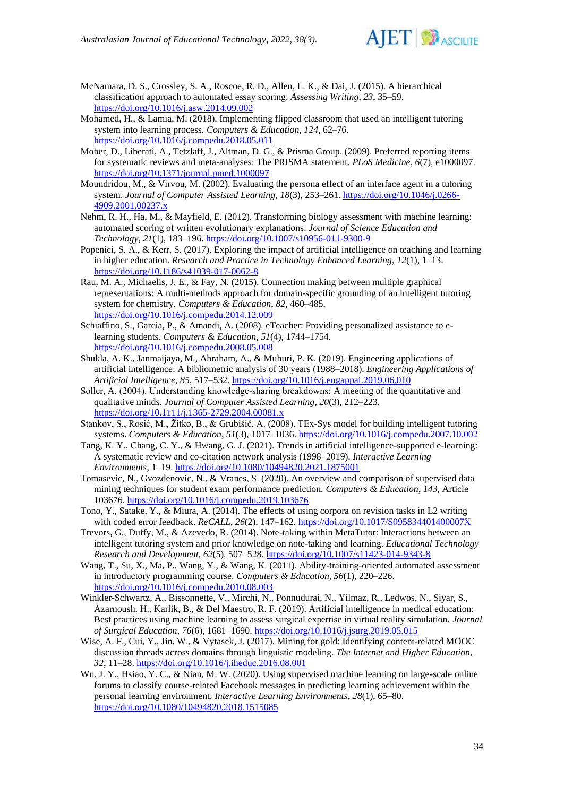

McNamara, D. S., Crossley, S. A., Roscoe, R. D., Allen, L. K., & Dai, J. (2015). A hierarchical classification approach to automated essay scoring. *Assessing Writing*, *23*, 35–59. <https://doi.org/10.1016/j.asw.2014.09.002>

- Mohamed, H., & Lamia, M. (2018). Implementing flipped classroom that used an intelligent tutoring system into learning process. *Computers & Education*, *124*, 62–76. <https://doi.org/10.1016/j.compedu.2018.05.011>
- Moher, D., Liberati, A., Tetzlaff, J., Altman, D. G., & Prisma Group. (2009). Preferred reporting items for systematic reviews and meta-analyses: The PRISMA statement. *PLoS Medicine*, *6*(7), e1000097. <https://doi.org/10.1371/journal.pmed.1000097>
- Moundridou, M., & Virvou, M. (2002). Evaluating the persona effect of an interface agent in a tutoring system. *Journal of Computer Assisted Learning*, *18*(3), 253–261. [https://doi.org/10.1046/j.0266-](https://doi.org/10.1046/j.0266-4909.2001.00237.x) [4909.2001.00237.x](https://doi.org/10.1046/j.0266-4909.2001.00237.x)
- Nehm, R. H., Ha, M., & Mayfield, E. (2012). Transforming biology assessment with machine learning: automated scoring of written evolutionary explanations. *Journal of Science Education and Technology*, *21*(1), 183–196[. https://doi.org/10.1007/s10956-011-9300-9](https://doi.org/10.1007/s10956-011-9300-9)
- Popenici, S. A., & Kerr, S. (2017). Exploring the impact of artificial intelligence on teaching and learning in higher education. *Research and Practice in Technology Enhanced Learning*, *12*(1), 1–13. <https://doi.org/10.1186/s41039-017-0062-8>
- Rau, M. A., Michaelis, J. E., & Fay, N. (2015). Connection making between multiple graphical representations: A multi-methods approach for domain-specific grounding of an intelligent tutoring system for chemistry. *Computers & Education*, *82*, 460–485. <https://doi.org/10.1016/j.compedu.2014.12.009>
- Schiaffino, S., Garcia, P., & Amandi, A. (2008). eTeacher: Providing personalized assistance to elearning students. *Computers & Education*, *51*(4), 1744–1754. <https://doi.org/10.1016/j.compedu.2008.05.008>
- Shukla, A. K., Janmaijaya, M., Abraham, A., & Muhuri, P. K. (2019). Engineering applications of artificial intelligence: A bibliometric analysis of 30 years (1988–2018). *Engineering Applications of Artificial Intelligence*, *85*, 517–532.<https://doi.org/10.1016/j.engappai.2019.06.010>
- Soller, A. (2004). Understanding knowledge-sharing breakdowns: A meeting of the quantitative and qualitative minds. *Journal of Computer Assisted Learning*, *20*(3), 212–223. <https://doi.org/10.1111/j.1365-2729.2004.00081.x>
- Stankov, S., Rosić, M., Žitko, B., & Grubišić, A. (2008). TEx-Sys model for building intelligent tutoring systems. *Computers & Education*, *51*(3), 1017–1036.<https://doi.org/10.1016/j.compedu.2007.10.002>
- Tang, K. Y., Chang, C. Y., & Hwang, G. J. (2021). Trends in artificial intelligence-supported e-learning: A systematic review and co-citation network analysis (1998–2019). *Interactive Learning Environments*, 1–19.<https://doi.org/10.1080/10494820.2021.1875001>
- Tomasevic, N., Gvozdenovic, N., & Vranes, S. (2020). An overview and comparison of supervised data mining techniques for student exam performance prediction. *Computers & Education*, *143*, Article 103676.<https://doi.org/10.1016/j.compedu.2019.103676>
- Tono, Y., Satake, Y., & Miura, A. (2014). The effects of using corpora on revision tasks in L2 writing with coded error feedback. *ReCALL*, *26*(2), 147–162.<https://doi.org/10.1017/S095834401400007X>
- Trevors, G., Duffy, M., & Azevedo, R. (2014). Note-taking within MetaTutor: Interactions between an intelligent tutoring system and prior knowledge on note-taking and learning. *Educational Technology Research and Development, 62*(5), 507–528.<https://doi.org/10.1007/s11423-014-9343-8>
- Wang, T., Su, X., Ma, P., Wang, Y., & Wang, K. (2011). Ability-training-oriented automated assessment in introductory programming course. *Computers & Education*, *56*(1), 220–226. <https://doi.org/10.1016/j.compedu.2010.08.003>
- Winkler-Schwartz, A., Bissonnette, V., Mirchi, N., Ponnudurai, N., Yilmaz, R., Ledwos, N., Siyar, S., Azarnoush, H., Karlik, B., & Del Maestro, R. F. (2019). Artificial intelligence in medical education: Best practices using machine learning to assess surgical expertise in virtual reality simulation. *Journal of Surgical Education*, *76*(6), 1681–1690[. https://doi.org/10.1016/j.jsurg.2019.05.015](https://doi.org/10.1016/j.jsurg.2019.05.015)
- Wise, A. F., Cui, Y., Jin, W., & Vytasek, J. (2017). Mining for gold: Identifying content-related MOOC discussion threads across domains through linguistic modeling. *The Internet and Higher Education*, *32*, 11–28.<https://doi.org/10.1016/j.iheduc.2016.08.001>
- Wu, J. Y., Hsiao, Y. C., & Nian, M. W. (2020). Using supervised machine learning on large-scale online forums to classify course-related Facebook messages in predicting learning achievement within the personal learning environment. *Interactive Learning Environments*, *28*(1), 65–80. <https://doi.org/10.1080/10494820.2018.1515085>